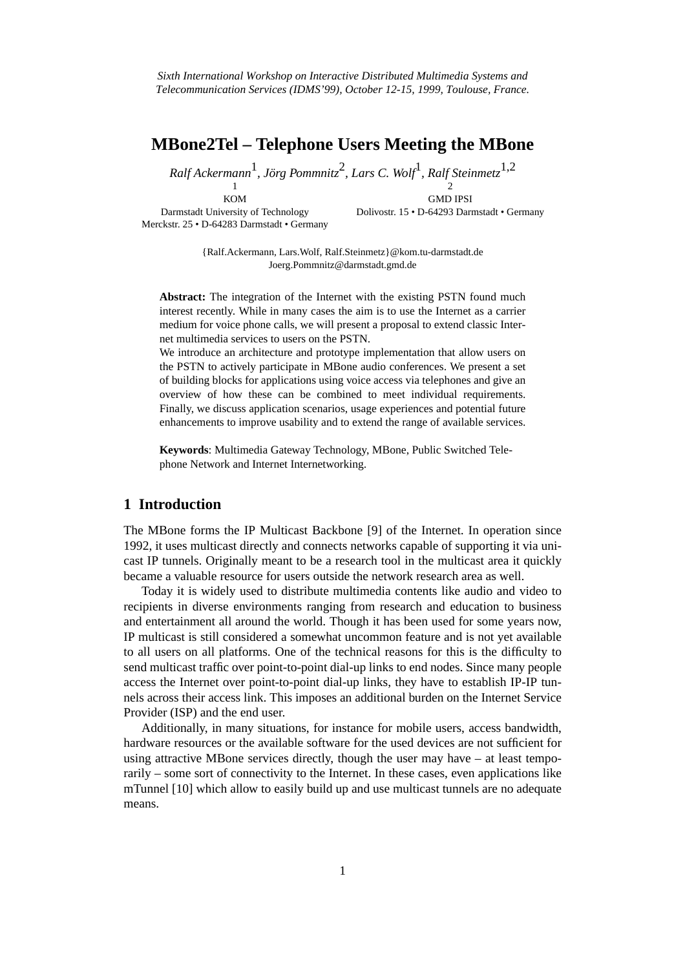# **MBone2Tel – Telephone Users Meeting the MBone**

*Ralf Ackermann*<sup>1</sup> *, Jörg Pommnitz*<sup>2</sup> *, Lars C. Wolf*1*, Ralf Steinmetz*1,2

1 KOM

Darmstadt University of Technology Merckstr. 25 • D-64283 Darmstadt • Germany

2 GMD IPSI Dolivostr. 15 • D-64293 Darmstadt • Germany

{Ralf.Ackermann, Lars.Wolf, Ralf.Steinmetz}@kom.tu-darmstadt.de Joerg.Pommnitz@darmstadt.gmd.de

**Abstract:** The integration of the Internet with the existing PSTN found much interest recently. While in many cases the aim is to use the Internet as a carrier medium for voice phone calls, we will present a proposal to extend classic Internet multimedia services to users on the PSTN.

We introduce an architecture and prototype implementation that allow users on the PSTN to actively participate in MBone audio conferences. We present a set of building blocks for applications using voice access via telephones and give an overview of how these can be combined to meet individual requirements. Finally, we discuss application scenarios, usage experiences and potential future enhancements to improve usability and to ext[end](#page-11-0) the range of available services.

**Keywords**: Multimedia Gateway Technology, MBone, Public Switched Telephone Network and Internet Internetworking.

## **1 Introduction**

The MBone forms the IP Multicast Backbone [9] of the Internet. In operation since 1992, it uses multicast directly and connects networks capable of supporting it via unicast IP tunnels. Originally meant to be a research tool in the multicast area it quickly became a valuable resource for users outside the network research area as well.

Today it is widely used to distribute multimedia contents like audio and video to recipients in diverse environments ranging from research and education to business and entertainment all around the world. Though it has been used for some years now, IP multicast is still considered a somewhat uncommon feature and is not yet available to all users on all platforms. One of the technical reasons for this is the difficulty to send multicast traffic over point-to-point dial-up links to end nodes. Since many people access the Internet over point-to-point dial-up links, they have to establish IP-IP tunnels acro[ss th](#page-11-0)eir access link. This imposes an additional burden on the Internet Service Provider (ISP) and the end user.

Additionally, in many situations, for instance for mobile users, access bandwidth, hardware resources or the available software for the used devices are not sufficient for using attractive MBone services directly, though the user may have – at least temporarily – some sort of connectivity to the Internet. In these cases, even applications like mTunnel [10] which allow to easily build up and use multicast tunnels are no adequate means.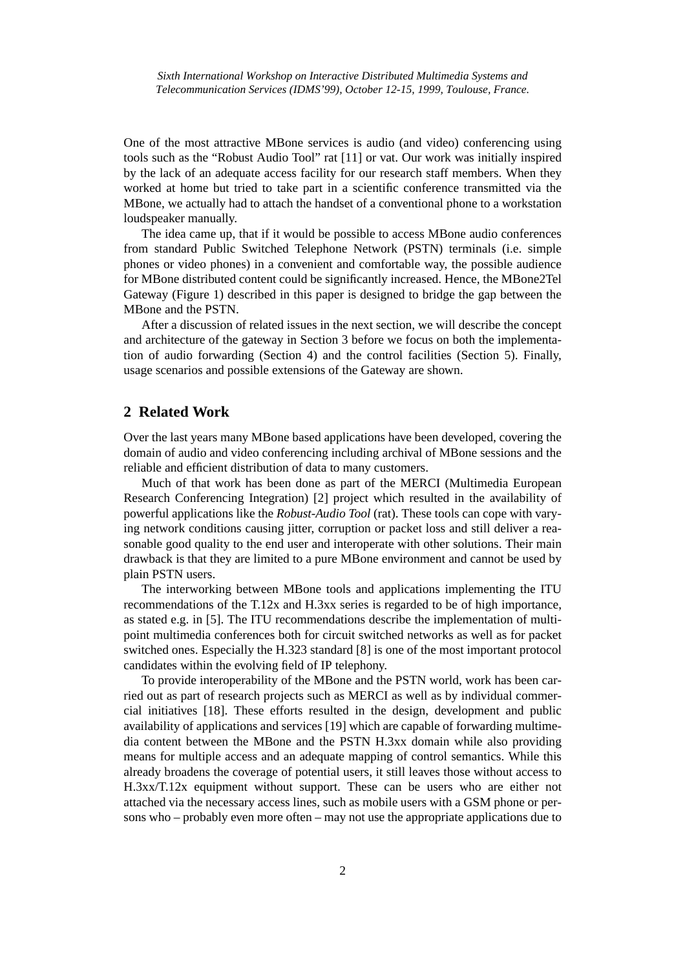One of the most attractive MBone services is audio (and video) conferencing using tools such as the "Robust Audio Tool" rat [11] or vat. Our work was initially inspired by the lack of an adequate access facility for our research staff members. When they worked at home but tried to take part in a scientific conference transmitted via the MBone, we actually had to attach the handset of a conventional phone to a workstation loudspeaker manually.

The idea came up, that if it would be possible to access MBone audio conferences from standard Public Switched [Telephone](#page-2-0) Network (PSTN) terminals (i.e. simple phones or video phones) i[n](#page-4-0) [a](#page-4-0) [conven](#page-4-0)ient and comfortable way, t[he](#page-5-0) [possibl](#page-5-0)e audience for MBone distributed content could be significantly increased. Hence, the MBone2Tel Gateway (Figure 1) described in this paper is designed to bridge the gap between the MBone and the PSTN.

After a discussion of related issues in the next section, we will describe the concept and architecture of the gateway in Section 3 before we focus on both the implementation of audio forwarding (Section 4) and the control facilities (Section 5). Finally, usage scenarios and possible extensions of the Gateway are shown.

### **2 Related Work**

Over the last years many MBone based applications have been developed, covering the domain of audio and video conferencing including archival of MBone sessions and the reliable and efficient distribution of data to many customers.

Much of that work has been done as part of the MERCI (Multimedia European Research Conferencing Integration) [2] project which resulted in the availability of powerful applications like the *Robust-Audio Tool* (rat). These tools can cope with varying network co[ndit](#page-10-0)ions causing jitter, corruption or packet loss and still deliver a reasonable good quality to the end user and interoperate with other solutions. Their main drawback is that they are limited to a pure M[Bon](#page-10-0)e environment and cannot be used by plain PSTN users.

The interworking between MBone tools and applications implementing the ITU recommendations of the T.12x and H.3xx series is regarded to be of high importance, as stated e.g. in [\[5\].](#page-11-0) The ITU recommendations describe the implementation of multipoint multimedia conferences both for [circu](#page-11-0)it switched networks as well as for packet switched ones. Especially the H.323 standard [8] is one of the most important protocol candidates within the evolving field of IP telephony.

To provide interoperability of the MBone and the PSTN world, work has been carried out as part of research projects such as MERCI as well as by individual commercial initiatives [18]. These efforts resulted in the design, development and public availability of applications and services [19] which are capable of forwarding multimedia content between the MBone and the PSTN H.3xx domain while also providing means for multiple access and an adequate mapping of control semantics. While this already broadens the coverage of potential users, it still leaves those without access to H.3xx/T.12x equipment without support. These can be users who are either not attached via the necessary access lines, such as mobile users with a GSM phone or persons who – probably even more often – may not use the appropriate applications due to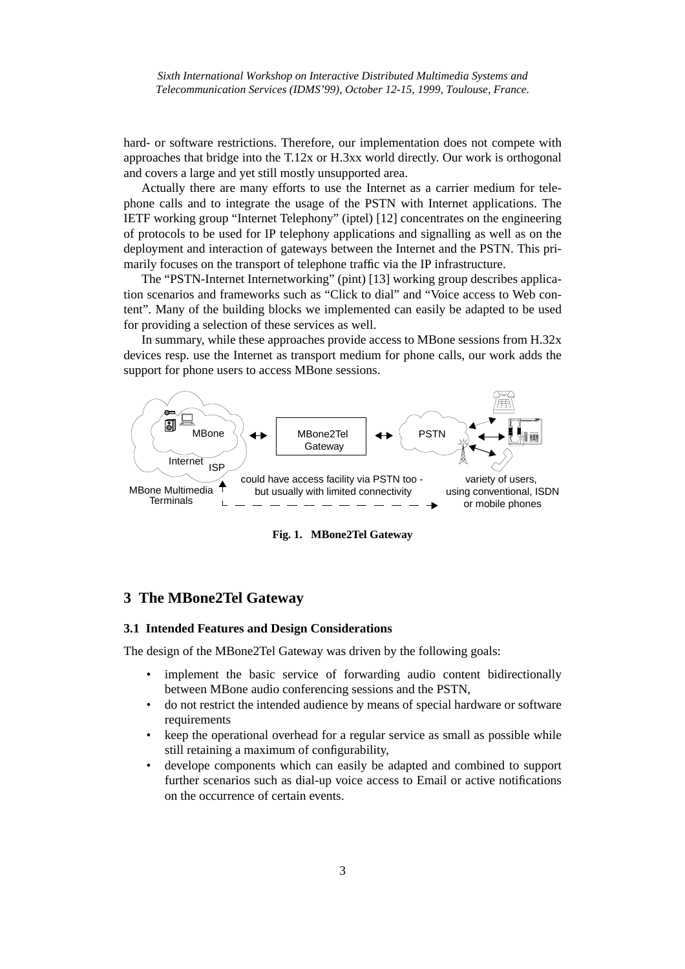<span id="page-2-0"></span>hard- or software restrictions. Therefore, our implementation does not compete with approaches that bridge into the T.12x or H.3xx world directly. Our work is orthogonal and covers a large and yet still mostly unsupported area.

Actually there are many efforts to use the I[ntern](#page-11-0)et as a carrier medium for telephone calls and to integrate the usage of the PSTN with Internet applications. The IETF working group "Internet Telephony" (iptel) [12] concentrates on the engineering of protocols to be used for IP telephony applications and signalling as well as on the deployment and interaction of gateways between the Internet and the PSTN. This primarily focuses on the transport of telephone traffic via the IP infrastructure.

The "PSTN-Internet Internetworking" (pint) [13] working group describes application scenarios and frameworks such as "Click to dial" and "Voice access to Web content". Many of the building blocks we implemented can easily be adapted to be used for providing a selection of these services as well.

In summary, while these approaches provide access to MBone sessions from H.32x devices resp. use the Internet as transport medium for phone calls, our work adds the support for phone users to access MBone sessions.



**Fig. 1. MBone2Tel Gateway**

## **3 The MBone2Tel Gateway**

#### **3.1 Intended Features and Design Considerations**

The design of the MBone2Tel Gateway was driven by the following goals:

- implement the basic service of forwarding audio content bidirectionally between MBone audio conferencing sessions and the PSTN,
- do not restrict the intended audience by means of special hardware or software requirements
- keep the operational overhead for a regular service as small as possible while still retaining a maximum of configurability,
- develope components which can easily be adapted and combined to support further scenarios such as dial-up voice access to Email or active notifications on the occurrence of certain events.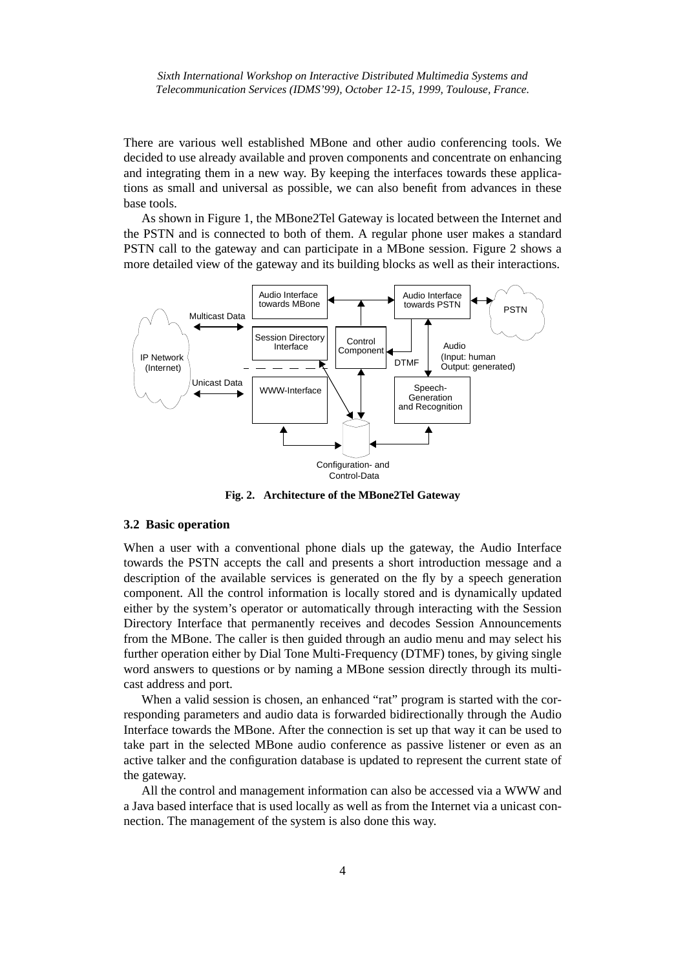There are various well established MBone and other audio conferencing tools. We decided to use already available and proven components and concentrate on enhancing and integrating them in a new way. By keeping the interfaces towards these applications as small and universal as possible, we can also benefit from advances in these base tools.

As shown in Figure 1, the MBone2Tel Gateway is located between the Internet and the PSTN and is connected to both of them. A regular phone user makes a standard PSTN call to the gateway and can participate in a MBone session. Figure 2 shows a more detailed view of the gateway and its building blocks as well as their interactions.



**Fig. 2. Architecture of the MBone2Tel Gateway**

#### **3.2 Basic operation**

When a user with a conventional phone dials up the gateway, the Audio Interface towards the PSTN accepts the call and presents a short introduction message and a description of the available services is generated on the fly by a speech generation component. All the control information is locally stored and is dynamically updated either by the system's operator or automatically through interacting with the Session Directory Interface that permanently receives and decodes Session Announcements from the MBone. The caller is then guided through an audio menu and may select his further operation either by Dial Tone Multi-Frequency (DTMF) tones, by giving single word answers to questions or by naming a MBone session directly through its multicast address and port.

When a valid session is chosen, an enhanced "rat" program is started with the corresponding parameters and audio data is forwarded bidirectionally through the Audio Interface towards the MBone. After the connection is set up that way it can be used to take part in the selected MBone audio conference as passive listener or even as an active talker and the configuration database is updated to represent the current state of the gateway.

All the control and management information can also be accessed via a WWW and a Java based interface that is used locally as well as from the Internet via a unicast connection. The management of the system is also done this way.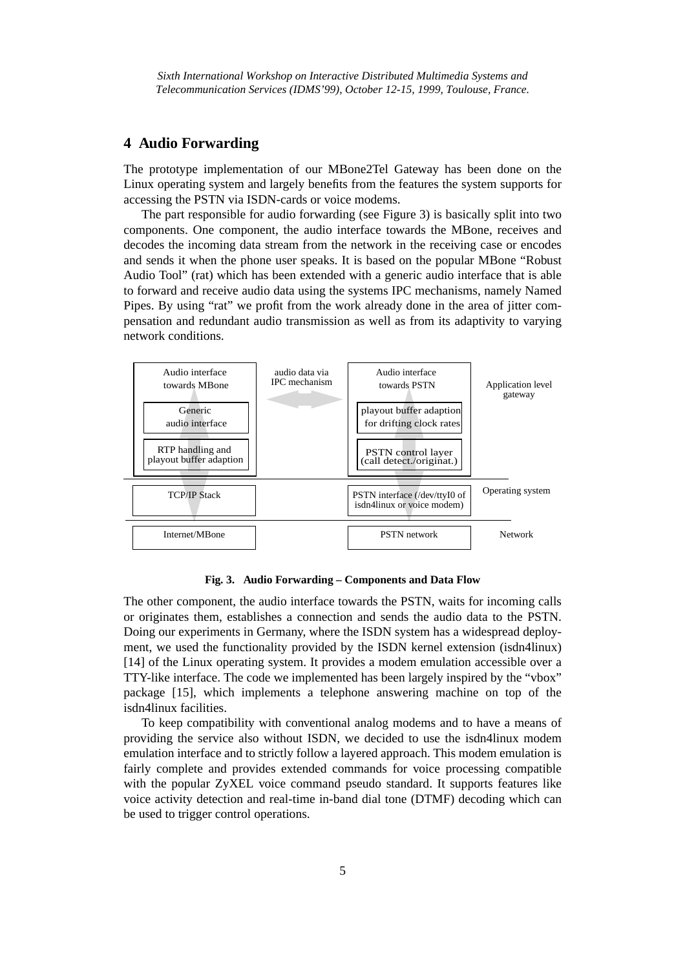## <span id="page-4-0"></span>**4 Audio Forwarding**

The prototype implementation of our MBone2Tel Gateway has been done on the Linux operating system and largely benefits from the features the system supports for accessing the PSTN via ISDN-cards or voice modems.

The part responsible for audio forwarding (see Figure 3) is basically split into two components. One component, the audio interface towards the MBone, receives and decodes the incoming data stream from the network in the receiving case or encodes and sends it when the phone user speaks. It is based on the popular MBone "Robust Audio Tool" (rat) which has been extended with a generic audio interface that is able to forward and receive audio data using the systems IPC mechanisms, namely Named Pipes. By using "rat" we profit from the work already done in the area of jitter compensation and redundant audio transmission as well as from its adaptivity to varying network conditions.



#### **Fig. 3. Audio Forwarding – Components and Data Flow**

The othe[r](#page-11-0) [com](#page-11-0)ponent, the audio interface towards the PSTN, waits for incoming calls or originates them, establishes a connection and sends the audio data to the PSTN. Doing our experiments in Germany, where the ISDN system has a widespread deployment, we used the functionality provided by the ISDN kernel extension (isdn4linux) [14] of the Linux operating system. It provides a modem emulation accessible over a TTY-like interface. The code we implemented has been largely inspired by the "vbox" package [15], which implements a telephone answering machine on top of the isdn4linux facilities.

To keep compatibility with conventional analog modems and to have a means of providing the service also without ISDN, we decided to use the isdn4linux modem emulation interface and to strictly follow a layered approach. This modem emulation is fairly complete and provides extended commands for voice processing compatible with the popular ZyXEL voice command pseudo standard. It supports features like voice activity detection and real-time in-band dial tone (DTMF) decoding which can be used to trigger control operations.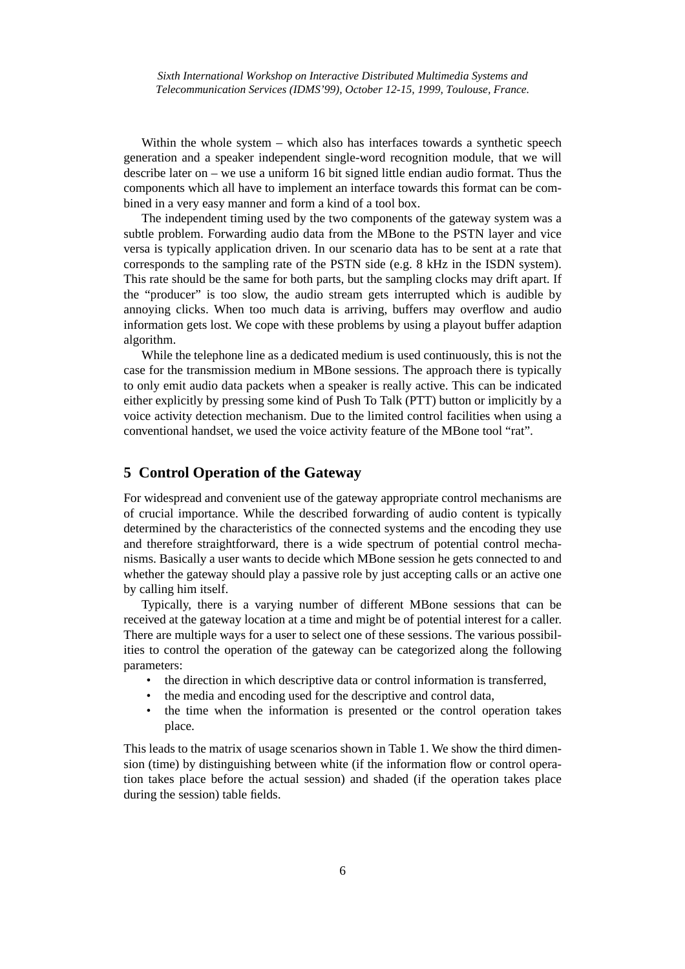<span id="page-5-0"></span>Within the whole system – which also has interfaces towards a synthetic speech generation and a speaker independent single-word recognition module, that we will describe later on – we use a uniform 16 bit signed little endian audio format. Thus the components which all have to implement an interface towards this format can be combined in a very easy manner and form a kind of a tool box.

The independent timing used by the two components of the gateway system was a subtle problem. Forwarding audio data from the MBone to the PSTN layer and vice versa is typically application driven. In our scenario data has to be sent at a rate that corresponds to the sampling rate of the PSTN side (e.g. 8 kHz in the ISDN system). This rate should be the same for both parts, but the sampling clocks may drift apart. If the "producer" is too slow, the audio stream gets interrupted which is audible by annoying clicks. When too much data is arriving, buffers may overflow and audio information gets lost. We cope with these problems by using a playout buffer adaption algorithm.

While the telephone line as a dedicated medium is used continuously, this is not the case for the transmission medium in MBone sessions. The approach there is typically to only emit audio data packets when a speaker is really active. This can be indicated either explicitly by pressing some kind of Push To Talk (PTT) button or implicitly by a voice activity detection mechanism. Due to the limited control facilities when using a conventional handset, we used the voice activity feature of the MBone tool "rat".

### **5 Control Operation of the Gateway**

For widespread and convenient use of the gateway appropriate control mechanisms are of crucial importance. While the described forwarding of audio content is typically determined by the characteristics of the connected systems and the encoding they use and therefore straightforward, there is a wide spectrum of potential control mechanisms. Basically a user wants to decide which MBone session he gets connected to and whether the gateway should play a passive role by just accepting calls or an active one by calling him itself.

Typically, there is a varying number of different MBone sessions that can be received at the gateway location at a time and might be of potential interest for a caller. There are multiple ways for a user to select one of these sessions. The various possibilities to control the operation of the gateway can be categorized along the following parameters:

- the direction in which descriptive data or control information is transferred,
- the media and encoding used for the descriptive and control data,
- the time when the information is presented or the control operation takes place.

This leads to the matrix of usage scenarios shown in Table 1. We show the third dimension (time) by distinguishing between white (if the information flow or control operation takes place before the actual session) and shaded (if the operation takes place during the session) table fields.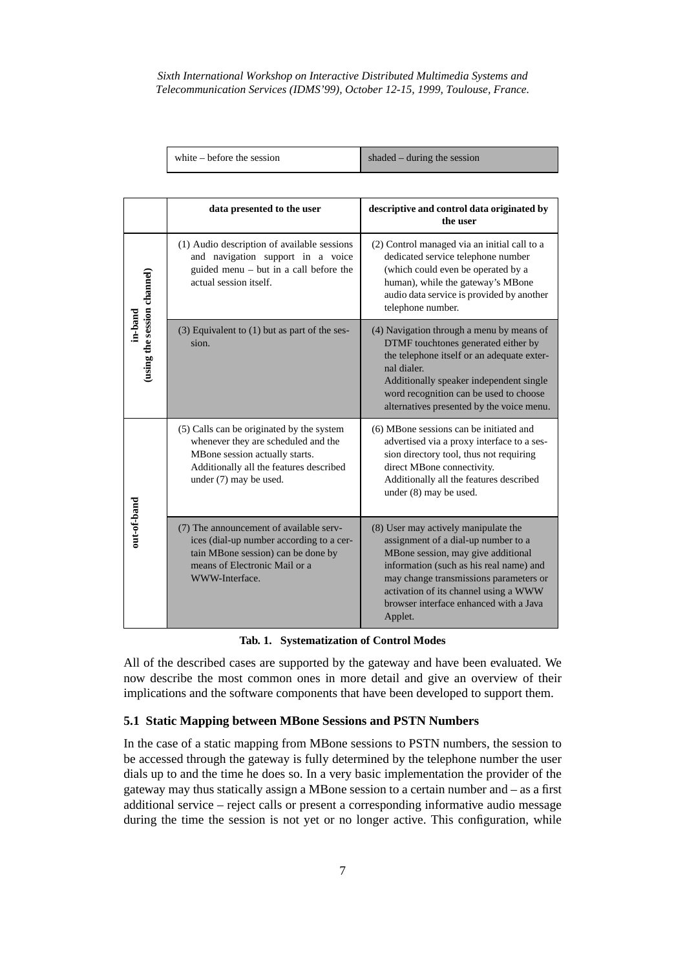white – before the session  $\vert$  shaded – during the session

|                                        | data presented to the user                                                                                                                                                              | descriptive and control data originated by<br>the user                                                                                                                                                                                                                                               |
|----------------------------------------|-----------------------------------------------------------------------------------------------------------------------------------------------------------------------------------------|------------------------------------------------------------------------------------------------------------------------------------------------------------------------------------------------------------------------------------------------------------------------------------------------------|
|                                        | (1) Audio description of available sessions<br>and navigation support in a voice<br>guided menu - but in a call before the<br>actual session itself.                                    | (2) Control managed via an initial call to a<br>dedicated service telephone number<br>(which could even be operated by a<br>human), while the gateway's MBone<br>audio data service is provided by another<br>telephone number.                                                                      |
| (using the session channel)<br>in-band | $(3)$ Equivalent to $(1)$ but as part of the ses-<br>sion.                                                                                                                              | (4) Navigation through a menu by means of<br>DTMF touchtones generated either by<br>the telephone itself or an adequate exter-<br>nal dialer.<br>Additionally speaker independent single<br>word recognition can be used to choose<br>alternatives presented by the voice menu.                      |
|                                        | (5) Calls can be originated by the system<br>whenever they are scheduled and the<br>MBone session actually starts.<br>Additionally all the features described<br>under (7) may be used. | (6) MBone sessions can be initiated and<br>advertised via a proxy interface to a ses-<br>sion directory tool, thus not requiring<br>direct MBone connectivity.<br>Additionally all the features described<br>under (8) may be used.                                                                  |
| out-of-band                            | (7) The announcement of available serv-<br>ices (dial-up number according to a cer-<br>tain MBone session) can be done by<br>means of Electronic Mail or a<br>WWW-Interface.            | (8) User may actively manipulate the<br>assignment of a dial-up number to a<br>MBone session, may give additional<br>information (such as his real name) and<br>may change transmissions parameters or<br>activation of its channel using a WWW<br>browser interface enhanced with a Java<br>Applet. |

|  | Tab. 1. Systematization of Control Modes |  |  |
|--|------------------------------------------|--|--|
|--|------------------------------------------|--|--|

All of the described cases are supported by the gateway and have been evaluated. We now describe the most common ones in more detail and give an overview of their implications and the software components that have been developed to support them.

#### **5.1 Static Mapping between MBone Sessions and PSTN Numbers**

In the case of a static mapping from MBone sessions to PSTN numbers, the session to be accessed through the gateway is fully determined by the telephone number the user dials up to and the time he does so. In a very basic implementation the provider of the gateway may thus statically assign a MBone session to a certain number and – as a first additional service – reject calls or present a corresponding informative audio message during the time the session is not yet or no longer active. This configuration, while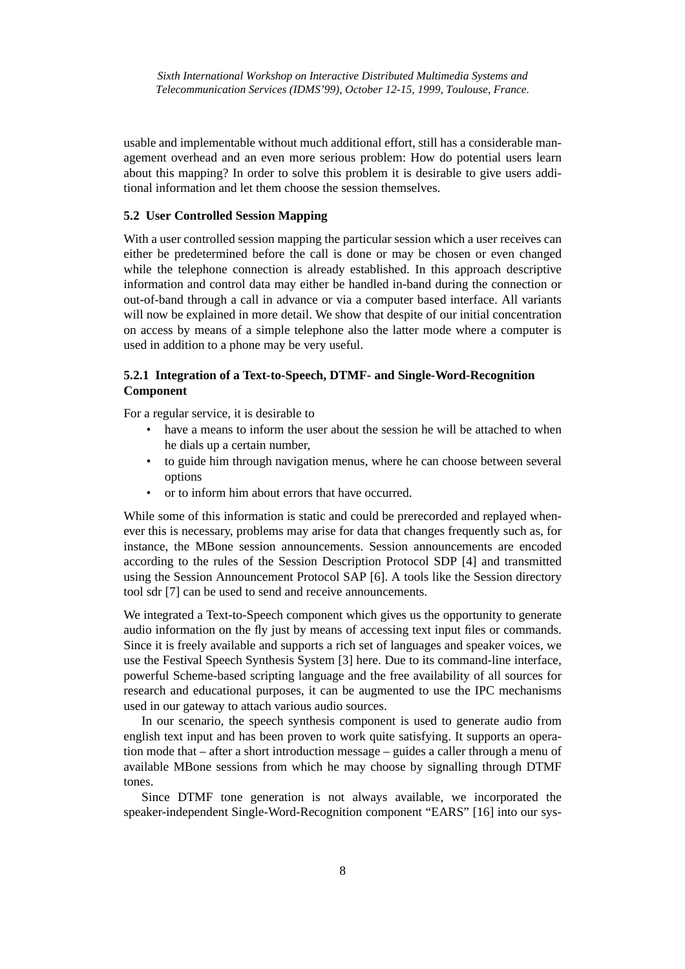usable and implementable without much additional effort, still has a considerable management overhead and an even more serious problem: How do potential users learn about this mapping? In order to solve this problem it is desirable to give users additional information and let them choose the session themselves.

### **5.2 User Controlled Session Mapping**

With a user controlled session mapping the particular session which a user receives can either be predetermined before the call is done or may be chosen or even changed while the telephone connection is already established. In this approach descriptive information and control data may either be handled in-band during the connection or out-of-band through a call in advance or via a computer based interface. All variants will now be explained in more detail. We show that despite of our initial concentration on access by means of a simple telephone also the latter mode where a computer is used in addition to a phone may be very useful.

### **5.2.1 Integration of a Text-to-Speech, DTMF- and Single-Word-Recognition Component**

For a regular service, it is desirable to

- have a means to inform the user about the session he will be attached to when he dials up a certain number,
- to guide him through navigation menus, where he can cho[ose](#page-10-0) between several options
- o[r to](#page-10-0) inform him about errors that have [occ](#page-10-0)urred.

While some of this information is static and could be prerecorded and replayed whenever this is necessary, problems may arise for data that changes frequently such as, for instance, the MBone session announcements. Session announcements are encoded according to the rules of the Session De[scr](#page-10-0)iption Protocol SDP [4] and transmitted using the Session Announcement Protocol SAP [6]. A tools like the Session directory tool sdr [7] can be used to send and receive announcements.

We integrated a Text-to-Speech component which gives us the opportunity to generate audio information on the fly just by means of accessing text input files or commands. Since it is freely available and supports a rich set of languages and speaker voices, we use the Festival Speech Synthesis System [3] here. Due to its command-line interface, powerful Scheme-based scripting language and the free availability of all sources for research and educational purposes, it can be augmented to use the IPC mechanisms used in our gateway to attach various audio sources.

In our scenario, the speech synthesis component is used to ge[nerat](#page-11-0)e audio from english text input and has been proven to work quite satisfying. It supports an operation mode that – after a short introduction message – guides a caller through a menu of available MBone sessions from which he may choose by signalling through DTMF tones.

Since DTMF tone generation is not always available, we incorporated the speaker-independent Single-Word-Recognition component "EARS" [16] into our sys-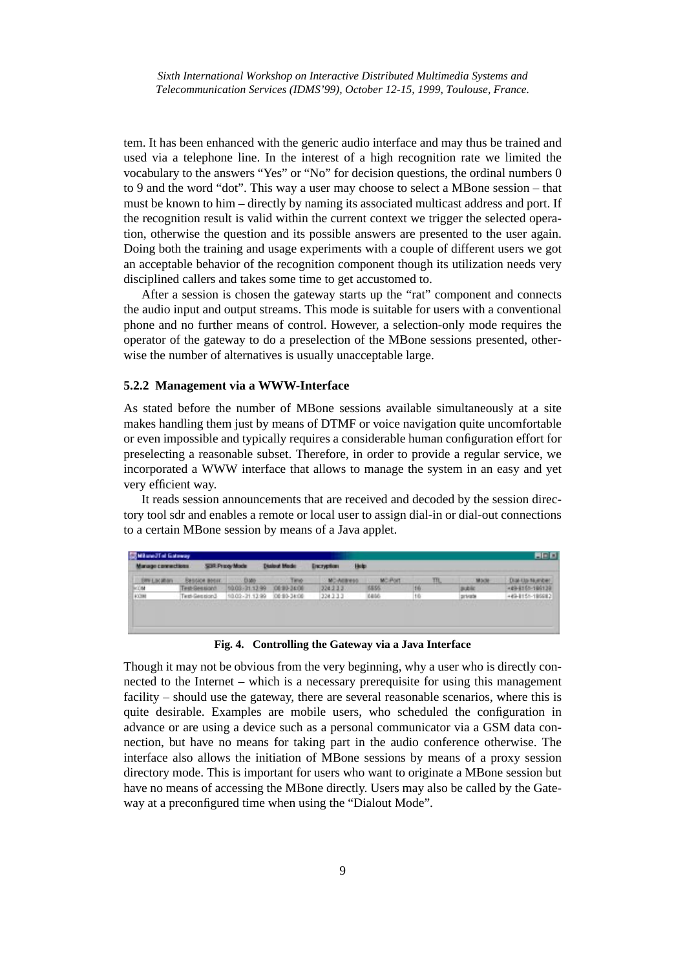tem. It has been enhanced with the generic audio interface and may thus be trained and used via a telephone line. In the interest of a high recognition rate we limited the vocabulary to the answers "Yes" or "No" for decision questions, the ordinal numbers 0 to 9 and the word "dot". This way a user may choose to select a MBone session – that must be known to him – directly by naming its associated multicast address and port. If the recognition result is valid within the current context we trigger the selected operation, otherwise the question and its possible answers are presented to the user again. Doing both the training and usage experiments with a couple of different users we got an acceptable behavior of the recognition component though its utilization needs very disciplined callers and takes some time to get accustomed to.

After a session is chosen the gateway starts up the "rat" component and connects the audio input and output streams. This mode is suitable for users with a conventional phone and no further means of control. However, a selection-only mode requires the operator of the gateway to do a preselection of the MBone sessions presented, otherwise the number of alternatives is usually unacceptable large.

#### **5.2.2 Management via a WWW-Interface**

As stated before the number of MBone sessions available simultaneously at a site makes handling them just by means of DTMF or voice navigation quite uncomfortable or even impossible and typically requires a considerable human configuration effort for preselecting a reasonable subset. Therefore, in order to provide a regular service, we incorporated a WWW interface that allows to manage the system in an easy and yet very efficient way.

It reads session announcements that are received and decoded by the session directory tool sdr and enables a remote or local user to assign dial-in or dial-out connections to a certain MBone session by means of a Java applet.

| Manage connections |                     | SOR Princy Mode | <b>Dialout Meder</b> | Holp:<br>Глостурбан |                |    |         |                   |
|--------------------|---------------------|-----------------|----------------------|---------------------|----------------|----|---------|-------------------|
| ERV Location       | Виволом вопис.      | D.MO            | Times.               | MC-NEBYESS          | <b>MC-Port</b> | ш  | MDOM:   | Dial-Up Number    |
| HOM                | Test-Gession/I      | 99.03-31.13.99  | 100103400            | 224 2 3 3           | 6855           | 16 | 拆卖部     | 449-5155-190139   |
|                    | <b>Criciana Res</b> | 10.02-21.12.99  | 100:03-34:00         | 324 3 3 3           | 0400           | 16 | private | +49-8151-195982   |
|                    | .                   |                 |                      |                     |                |    | .       | <b>STATISTICS</b> |
|                    |                     |                 |                      |                     |                |    |         |                   |

**Fig. 4. Controlling the Gateway via a Java Interface**

Though it may not be obvious from the very beginning, why a user who is directly connected to the Internet – which is a necessary prerequisite for using this management facility – should use the gateway, there are several reasonable scenarios, where this is quite desirable. Examples are mobile users, who scheduled the configuration in advance or are using a device such as a personal communicator via a GSM data connection, but have no means for taking part in the audio conference otherwise. The interface also allows the initiation of MBone sessions by means of a proxy session directory mode. This is important for users who want to originate a MBone session but have no means of accessing the MBone directly. Users may also be called by the Gateway at a preconfigured time when using the "Dialout Mode".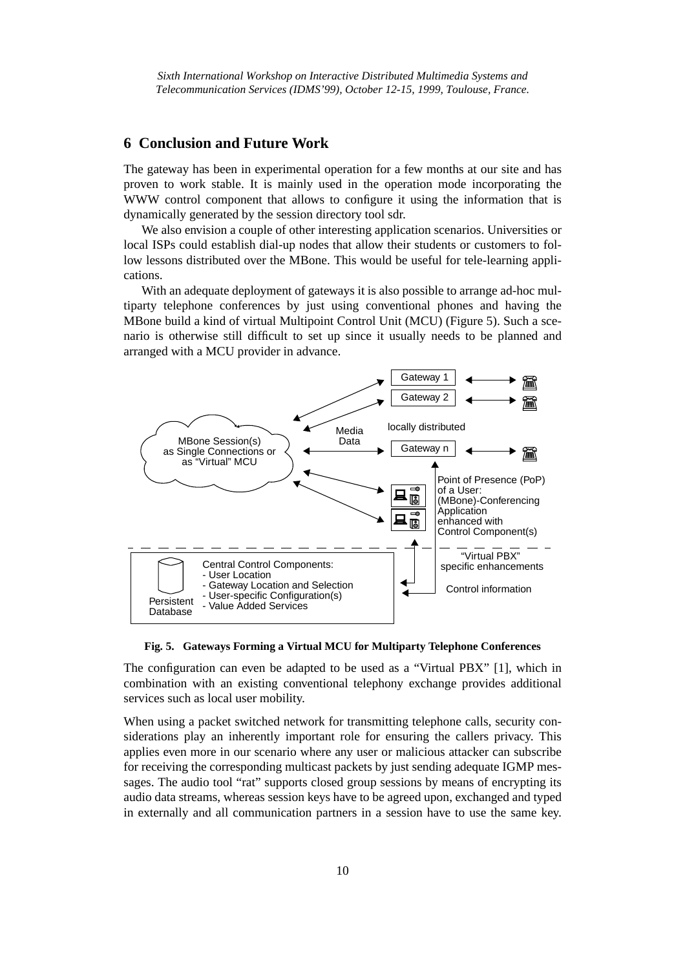## **6 Conclusion and Future Work**

The gateway has been in experimental operation for a few months at our site and has proven to work stable. It is mainly used in the operation mode incorporating the WWW control component that allows to configure it using the information that is dynamically generated by the session directory tool sdr.

We also envision a couple of other interesting application scenarios. Universities or local ISPs could establish dial-up nodes that allow their students or customers to follow lessons distributed over the MBone. This would be useful for tele-learning applications.

With an adequate deployment of gateways it is also possible to arrange ad-hoc multiparty telephone conferences by just using conventional phones and having the MBone build a kind of virtual Multipoint Control Unit (MCU) (Figure 5). Such a scenario is otherwise still difficult to set up since it usually needs to be planned and arranged with a MCU provider in advance.



**Fig. 5. Gateways Forming a Virtual MCU for Multiparty Telephone Conferences**

The configuration can even be adapted to be used as a "Virtual PBX" [1], which in combination with an existing conventional telephony exchange provides additional services such as local user mobility.

When using a packet switched network for transmitting telephone calls, security considerations play an inherently important role for ensuring the callers privacy. This applies even more in our scenario where any user or malicious attacker can subscribe for receiving the corresponding multicast packets by just sending adequate IGMP messages. The audio tool "rat" supports closed group sessions by means of encrypting its audio data streams, whereas session keys have to be agreed upon, exchanged and typed in externally and all communication partners in a session have to use the same key.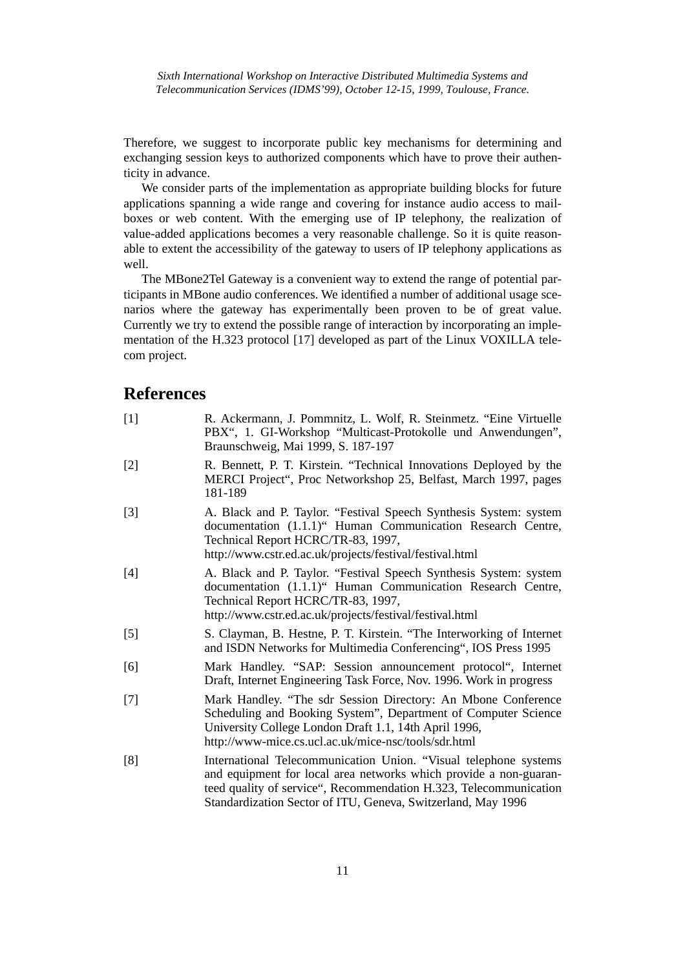<span id="page-10-0"></span>Therefore, we suggest to incorporate public key mechanisms for determining and exchanging session keys to authorized components which have to prove their authenticity in advance.

We consider parts of the implementation as appropriate building blocks for future applications spanning a wide range and covering for instance audio access to mailboxes or web content. With the emerging use of IP telephony, the realization of value-added applications becomes a very reasonable challenge. So it is quite reasonable to extent the accessibility of [the](#page-11-0) gateway to users of IP telephony applications as well.

The MBone2Tel Gateway is a convenient way to extend the range of potential participants in MBone audio conferences. We identified a number of additional usage scenarios where the gateway has experimentally been proven to be of great value. Currently we try to extend the possible range of interaction by incorporating an implementation of the H.323 protocol [17] developed as part of the Linux VOXILLA telecom project.

# **References**

| $[1]$ | R. Ackermann, J. Pommnitz, L. Wolf, R. Steinmetz. "Eine Virtuelle<br>PBX", 1. GI-Workshop "Multicast-Protokolle und Anwendungen",<br>Braunschweig, Mai 1999, S. 187-197                                                                          |
|-------|--------------------------------------------------------------------------------------------------------------------------------------------------------------------------------------------------------------------------------------------------|
| $[2]$ | R. Bennett, P. T. Kirstein. "Technical Innovations Deployed by the<br>MERCI Project", Proc Networkshop 25, Belfast, March 1997, pages<br>181-189                                                                                                 |
| $[3]$ | A. Black and P. Taylor. "Festival Speech Synthesis System: system<br>documentation (1.1.1)" Human Communication Research Centre,<br>Technical Report HCRC/TR-83, 1997,<br>http://www.cstr.ed.ac.uk/projects/festival/festival.html               |
| $[4]$ | A. Black and P. Taylor. "Festival Speech Synthesis System: system<br>documentation (1.1.1)" Human Communication Research Centre,<br>Technical Report HCRC/TR-83, 1997,<br>http://www.cstr.ed.ac.uk/projects/festival/festival.html               |
| $[5]$ | S. Clayman, B. Hestne, P. T. Kirstein. "The Interworking of Internet<br>and ISDN Networks for Multimedia Conferencing", IOS Press 1995                                                                                                           |
| [6]   | Mark Handley. "SAP: Session announcement protocol", Internet<br>Draft, Internet Engineering Task Force, Nov. 1996. Work in progress                                                                                                              |
| $[7]$ | Mark Handley. "The sdr Session Directory: An Mbone Conference<br>Scheduling and Booking System", Department of Computer Science<br>University College London Draft 1.1, 14th April 1996,<br>http://www-mice.cs.ucl.ac.uk/mice-nsc/tools/sdr.html |
| [8]   | International Telecommunication Union. "Visual telephone systems<br>and equipment for local area networks which provide a non-guaran-<br>teed quality of service", Recommendation H.323, Telecommunication                                       |

Standardization Sector of ITU, Geneva, Switzerland, May 1996